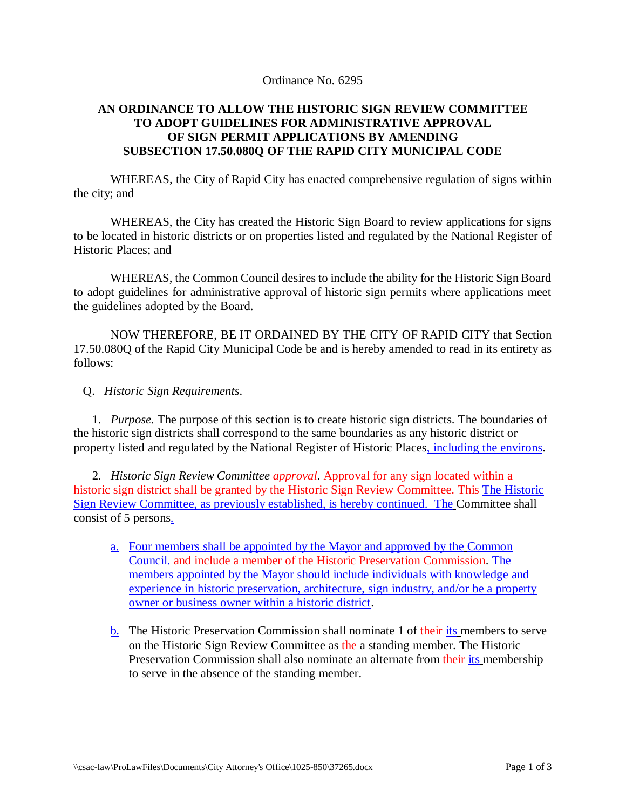## Ordinance No. 6295

## **AN ORDINANCE TO ALLOW THE HISTORIC SIGN REVIEW COMMITTEE TO ADOPT GUIDELINES FOR ADMINISTRATIVE APPROVAL OF SIGN PERMIT APPLICATIONS BY AMENDING SUBSECTION 17.50.080Q OF THE RAPID CITY MUNICIPAL CODE**

WHEREAS, the City of Rapid City has enacted comprehensive regulation of signs within the city; and

WHEREAS, the City has created the Historic Sign Board to review applications for signs to be located in historic districts or on properties listed and regulated by the National Register of Historic Places; and

WHEREAS, the Common Council desires to include the ability for the Historic Sign Board to adopt guidelines for administrative approval of historic sign permits where applications meet the guidelines adopted by the Board.

NOW THEREFORE, BE IT ORDAINED BY THE CITY OF RAPID CITY that Section 17.50.080Q of the Rapid City Municipal Code be and is hereby amended to read in its entirety as follows:

## Q. *Historic Sign Requirements*.

 1. *Purpose.* The purpose of this section is to create historic sign districts. The boundaries of the historic sign districts shall correspond to the same boundaries as any historic district or property listed and regulated by the National Register of Historic Places, including the environs.

 2. *Historic Sign Review Committee approval*. Approval for any sign located within a historic sign district shall be granted by the Historic Sign Review Committee. This The Historic Sign Review Committee, as previously established, is hereby continued. The Committee shall consist of 5 persons.

- a. Four members shall be appointed by the Mayor and approved by the Common Council. and include a member of the Historic Preservation Commission. The members appointed by the Mayor should include individuals with knowledge and experience in historic preservation, architecture, sign industry, and/or be a property owner or business owner within a historic district.
- b. The Historic Preservation Commission shall nominate 1 of their its members to serve on the Historic Sign Review Committee as the a standing member. The Historic Preservation Commission shall also nominate an alternate from their its membership to serve in the absence of the standing member.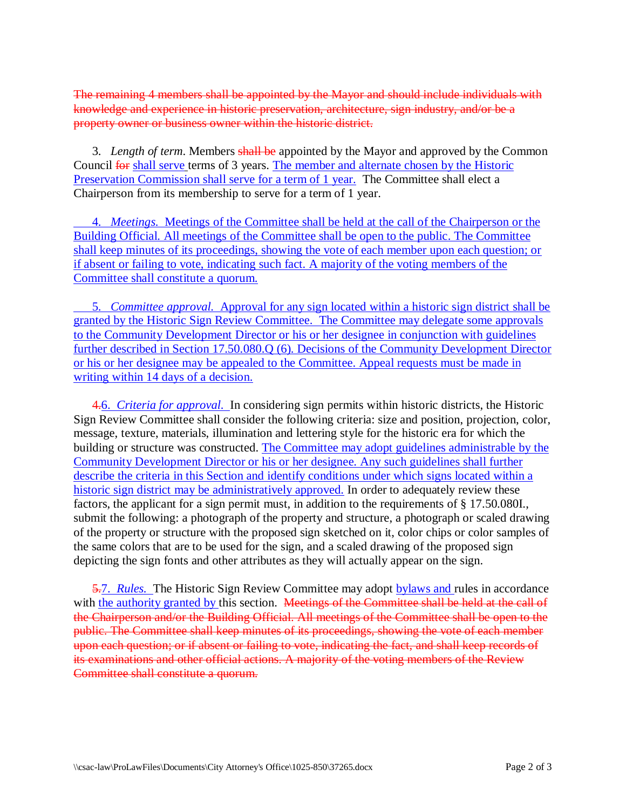The remaining 4 members shall be appointed by the Mayor and should include individuals with knowledge and experience in historic preservation, architecture, sign industry, and/or be a property owner or business owner within the historic district.

 3. *Length of term*. Members shall be appointed by the Mayor and approved by the Common Council for shall serve terms of 3 years. The member and alternate chosen by the Historic Preservation Commission shall serve for a term of 1 year. The Committee shall elect a Chairperson from its membership to serve for a term of 1 year.

 4. *Meetings.* Meetings of the Committee shall be held at the call of the Chairperson or the Building Official. All meetings of the Committee shall be open to the public. The Committee shall keep minutes of its proceedings, showing the vote of each member upon each question; or if absent or failing to vote, indicating such fact. A majority of the voting members of the Committee shall constitute a quorum.

 5. *Committee approval.* Approval for any sign located within a historic sign district shall be granted by the Historic Sign Review Committee. The Committee may delegate some approvals to the Community Development Director or his or her designee in conjunction with guidelines further described in Section 17.50.080.Q (6). Decisions of the Community Development Director or his or her designee may be appealed to the Committee. Appeal requests must be made in writing within 14 days of a decision.

4.6. *Criteria for approval.* In considering sign permits within historic districts, the Historic Sign Review Committee shall consider the following criteria: size and position, projection, color, message, texture, materials, illumination and lettering style for the historic era for which the building or structure was constructed. The Committee may adopt guidelines administrable by the Community Development Director or his or her designee. Any such guidelines shall further describe the criteria in this Section and identify conditions under which signs located within a historic sign district may be administratively approved. In order to adequately review these factors, the applicant for a sign permit must, in addition to the requirements of § 17.50.080I., submit the following: a photograph of the property and structure, a photograph or scaled drawing of the property or structure with the proposed sign sketched on it, color chips or color samples of the same colors that are to be used for the sign, and a scaled drawing of the proposed sign depicting the sign fonts and other attributes as they will actually appear on the sign.

5.7. *Rules.* The Historic Sign Review Committee may adopt bylaws and rules in accordance with the authority granted by this section. Meetings of the Committee shall be held at the call of the Chairperson and/or the Building Official. All meetings of the Committee shall be open to the public. The Committee shall keep minutes of its proceedings, showing the vote of each member upon each question; or if absent or failing to vote, indicating the fact, and shall keep records of its examinations and other official actions. A majority of the voting members of the Review Committee shall constitute a quorum.